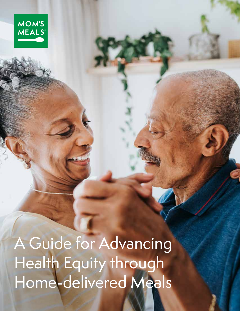

A Guide for Advancing Health Equity through Home-delivered Meals

1 A GUIDE FOR ADVANCING HEALTH EXAMPLE, THE SECOND HOME-DELIVERED MEALS AND LOCAL HOME-DELIVERED MEALS AND LOCAL HOME-DELIVERED MEALS AND LOCAL HOME-DELIVERED MEALS AND LOCAL HOME-DELIVERED MEALS AND LOCAL HOME-DELIVERED M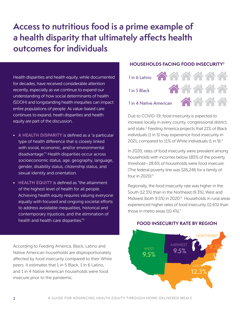## **Access to nutritious food is a prime example of**  a health disparity that ultimately affects health **outcomes for individuals**

Health disparities and health equity, while documented for decades, have received considerable attention recently, especially as we continue to expand our understanding of how social determinants of health (SDOH) and longstanding health inequities can impact entire populations of people. As value-based care continues to expand, heath disparities and health equity are part of the discussion.

- A HEALTH DISPARITY is defined as a "a particular type of health difference that is closely linked with social, economic, and/or environmental disadvantage."1 Health disparities occur across socioeconomic status, age, geography, language, gender, disability status, citizenship status, and sexual identity and orientation.
- HEALTH EQUITY is defined as "the attainment of the highest level of health for all people. Achieving health equity requires valuing everyone equally with focused and ongoing societal efforts to address avoidable inequalities, historical and contemporary injustices, and the elimination of health and health care disparities."2

According to Feeding America, Black, Latino and Native American households are disproportionately affected by food insecurity compared to their White peers. It estimates that 1 in 5 Black, 1 in 6 Latino, and 1 in 4 Native American households were food insecure prior to the pandemic.

### **HOUSEHOLDS FACING FOOD INSECURITY3**



Due to COVID-19, food insecurity is expected to increase locally in every county, congressional district, and state.<sup>3</sup> Feeding America projects that 21% of Black individuals (1 in 5) may experience food insecurity in 2021, compared to 11% of White individuals (1 in 9).<sup>4</sup>

In 2020, rates of food insecurity were prevalent among households with incomes below 185% of the poverty threshold—28.6% of households were food insecure. (The federal poverty line was \$26,246 for a family of four in 2020).<sup>5</sup>

those in metro areas (10.4%).<sup>7</sup> Regionally, the food insecurity rate was higher in the South (12.3%) than in the Northeast (9.3%), West and Midwest (both 9.5%) in 2020.<sup>6</sup> Households in rural areas experienced higher rates of food insecurity (11.6%) than



#### **FOOD INSECURITY RATE BY REGION**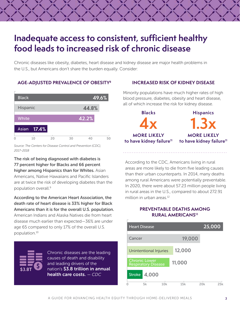## Inadequate access to consistent, sufficient healthy **food leads to increased risk of chronic disease**

Chronic diseases like obesity, diabetes, heart disease and kidney disease are major health problems in the U.S., but Americans don't share the burden equally. Consider:

## **AGE-ADJUSTED PREVALENCE OF OBESITY8**



*Source: The Centers for Disease Control and Prevention (CDC), 2017–2018* 

The risk of being diagnosed with diabetes is 77 percent higher for Blacks and 66 percent higher among Hispanics than for Whites. Asian Americans, Native Hawaiians and Pacific Islanders are at twice the risk of developing diabetes than the population overall.<sup>9</sup>

According to the American Heart Association, the death rate of heart disease is 33% higher for Black Americans than it is for the overall U.S. population. American Indians and Alaska Natives die from heart disease much earlier than expected—36% are under age 65 compared to only 17% of the overall U.S. [population.10](https://population.10)



Chronic diseases are the leading causes of death and disability and leading drivers of the nation's \$3.8 trillion in annual health care costs. *— CDC* 

## **INCREASED RISK OF KIDNEY DISEASE**

Minority populations have much higher rates of high blood pressure, diabetes, obesity and heart disease, all of which increase the risk for kidney disease.



According to the CDC, Americans living in rural areas are more likely to die from five leading causes than their urban counterparts. In 2014, many deaths among rural Americans were potentially preventable. In 2020, there were about 57.23 million people living in rural areas in the U.S., compared to about 272.91 million in urban areas<sup>12</sup>

## **PREVENTABLE DEATHS AMONG RURAL AMERICANS13**

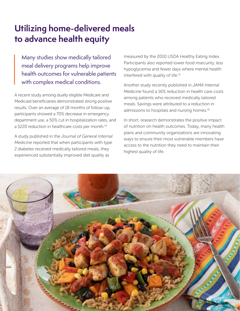# **Utilizing home-delivered meals to advance health equity**

Many studies show medically tailored meal delivery programs help improve health outcomes for vulnerable patients with complex medical conditions.

A recent study among dually eligible Medicare and Medicaid beneficiaries demonstrated strong positive results. Over an average of 18 months of follow-up, participants showed a 70% decrease in emergency department use, a 50% cut in hospitalization rates, and a \$220 reduction in healthcare costs per [month.](https://month.14)<sup>14</sup>

A study published in the *Journal of General Internal Medicine* reported that when participants with type 2 diabetes received medically tailored meals, they experienced substantially improved diet quality as

measured by the 2010 USDA Healthy Eating Index. Participants also reported lower food insecurity, less hypoglycemia and fewer days where mental health interfered with quality of life.<sup>15</sup>

Another study recently published in *JAMA Internal Medicine* found a 16% reduction in health care costs among patients who received medically tailored meals. Savings were attributed to a reduction in admissions to hospitals and nursing homes.<sup>16</sup>

In short, research demonstrates the positive impact of nutrition on health outcomes. Today, many health plans and community organizations are innovating ways to ensure their most vulnerable members have access to the nutrition they need to maintain their highest quality of life.

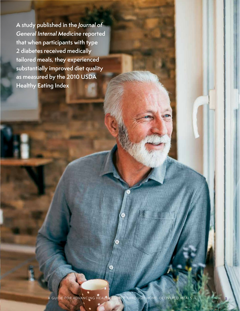**A study published in the** Journal of General Internal Medicine **reported that when participants with type 2 diabetes received medically tailored meals, they experienced substantially improved diet quality as measured by the 2010 USDA Healthy Eating Index**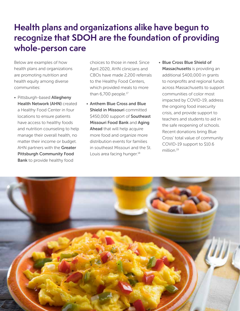## **Health plans and organizations alike have begun to recognize that SDOH are the foundation of providing whole-person care**

Below are examples of how health plans and organizations are promoting nutrition and health equity among diverse communities:

• Pittsburgh-based Allegheny Health Network (AHN) created a Healthy Food Center in four locations to ensure patients have access to healthy foods and nutrition counseling to help manage their overall health, no matter their income or budget. AHN partners with the Greater Pittsburgh Community Food **Bank** to provide healthy food

choices to those in need. Since April 2020, AHN clinicians and CBOs have made 2,200 referrals to the Healthy Food Centers, which provided meals to more than  $6,700$  people. $^{17}$ 

- Louis area facing hunger.<sup>18</sup> • Anthem Blue Cross and Blue Shield in Missouri committed \$450,000 support of Southeast Missouri Food Bank and Aging Ahead that will help acquire more food and organize more distribution events for families in southeast Missouri and the St.
- Blue Cross Blue Shield of Massachusetts is providing an additional \$400,000 in grants to nonprofits and regional funds across Massachusetts to support communities of color most impacted by COVID-19, address the ongoing food insecurity crisis, and provide support to teachers and students to aid in the safe reopening of schools. Recent donations bring Blue Cross' total value of community COVID-19 support to \$10.6 [million.](https://million.19)<sup>19</sup>

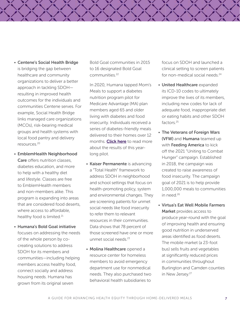- Centene's Social Health Bridge is bridging the gap between healthcare and community organizations to deliver a better approach in tackling SDOH resulting in improved health outcomes for the individuals and communities Centene serves. For example, Social Health Bridge links managed care organizations (MCOs), risk-bearing medical groups and health systems with local food pantry and delivery [resources.20](https://resources.20)
- healthy food is [limited.](https://limited.21)<sup>21</sup> • EmblemHealth Neighborhood Care offers nutrition classes. diabetes education, and more to help with a healthy diet and lifestyle. Classes are free to EmblemHealth members and non-members alike. This program is expanding into areas that are considered food deserts, where access to affordable,
- Humana's Bold Goal initiative focuses on addressing the needs of the whole person by cocreating solutions to address SDOH for its members and communities—including helping members access healthy food, connect socially and address housing needs. Humana has grown from its original seven

communities.<sup>22</sup> Bold Goal communities in 2015 to 16 designated Bold Goal

In 2020, Humana tapped Mom's Meals to support a diabetes nutrition program pilot for Medicare Advantage (MA) plan members aged 65 and older living with diabetes and food insecurity. Individuals received a series of diabetes-friendly meals delivered to their homes over 12 months. Click here to read more about the results of this yearlong pilot.

- Kaiser Permanente is advancing a "Total Health" framework to address SDOH in neighborhood and school settings that focus on health-promoting policy, system and environmental changes. They are screening patients for unmet social needs like food insecurity to refer them to relevant resources in their communities. Data shows that 78 percent of those screened have one or more unmet social [needs.23](https://needs.23)
- Molina Healthcare opened a resource center for homeless members to avoid emergency department use for nonmedical needs. They also purchased two behavioral health subsidiaries to

focus on SDOH and launched a clinical setting to screen patients for non-medical social [needs.](https://needs.24)<sup>24</sup>

- United Healthcare expanded its ICD-10 codes to ultimately improve the lives of its members, including new codes for lack of adequate food, inappropriate diet or eating habits and other SDOH factors<sup>25</sup>
- The Veterans of Foreign Wars (VFW) and Humana teamed up with **Feeding America** to kick off the 2021 "Uniting to Combat Hunger" campaign. Established in 2018, the campaign was created to raise awareness of food insecurity. The campaign goal of 2021 is to help provide 1,000,000 meals to communities in need.26
- Virtua's Eat Well Mobile Farmers Market provides access to produce year-round with the goal of improving health and ensuring good nutrition in underserved areas identified as food deserts. The mobile market (a 23-foot bus) sells fruits and vegetables at significantly reduced prices in communities throughout Burlington and Camden counties in New Jersey.<sup>27</sup>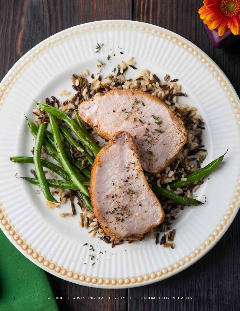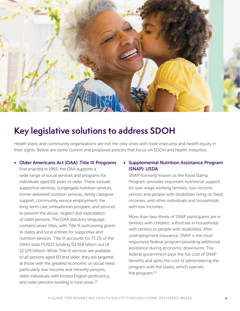

## **Key legislative solutions to address SDOH**

Health plans and community organizations are not the only ones with food insecurity and health equity in their sights. Below are some current and proposed policies that focus on SDOH and health inequities.

### • Older Americans Act (OAA): Title III Programs

and older persons residing in rural [areas.](https://areas.28)<sup>28</sup> First enacted in 1965, the OAA supports a wide range of social services and programs for individuals aged 60 years or older. These include supportive services, congregate nutrition services, home-delivered nutrition services, family caregiver support, community service employment, the long-term care ombudsman program, and services to prevent the abuse, neglect and exploitation of older persons. The OAA statutory language contains seven titles, with Title III authorizing grants to states and local entities for supportive and nutrition services. Title III accounts for 73.2% of the OAA's total FY2021 funding (\$1.558 billion out of \$2.129 billion). While Title III services are available to all persons aged 60 and older, they are targeted at those with the greatest economic or social need, particularly low-income and minority persons, older individuals with limited English proficiency,

## • Supplemental Nutrition Assistance Program (SNAP): USDA

SNAP, formerly known as the Food Stamp Program, provides important nutritional support for low-wage working families, low-income seniors and people with disabilities living on fixed incomes, and other individuals and households with low incomes

More than two-thirds of SNAP participants are in families with children; a third are in households with seniors or people with disabilities. After unemployment insurance, SNAP is the most responsive federal program providing additional assistance during economic downturns. The federal government pays the full cost of SNAP benefits and splits the cost of administering the program with the states, which operate the [program.](https://program.29)29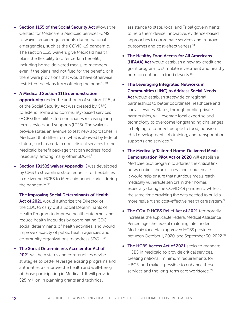- Section 1135 of the Social Security Act allows the Centers for Medicare & Medicaid Services (CMS) to waive certain requirements during national emergencies, such as the COVID-19 pandemic. The section 1135 waivers give Medicaid health plans the flexibility to offer certain benefits, including home-delivered meals, to members even if the plans had not filed for the benefit, or if there were provisions that would have otherwise restricted the plans from offering the [benefit.](https://benefit.30)<sup>30</sup>
- A Medicaid Section 1115 demonstration opportunity under the authority of section 1115(a) of the Social Security Act was created by CMS to extend home and community-based services (HCBS) flexibilities to beneficiaries receiving longterm services and supports (LTSS). The waivers provide states an avenue to test new approaches in Medicaid that differ from what is allowed by federal statute, such as certain non-clinical services to the Medicaid benefit package that can address food insecurity, among many other SDOH.<sup>31</sup>
- Section 1915(c) waiver Appendix K was developed by CMS to streamline state requests for flexibilities in delivering HCBS to Medicaid beneficiaries during the pandemic. $32$ 
	- The Improving Social Determinants of Health Act of 2021 would authorize the Director of the CDC to carry out a Social Determinants of Health Program to improve health outcomes and reduce health inequities by coordinating CDC social determinants of health activities, and would improve capacity of public health agencies and community organizations to address SDOH.<sup>33</sup>
- The Social Determinants Accelerator Act of 2021 will help states and communities devise strategies to better leverage existing programs and authorities to improve the health and well-being of those participating in Medicaid. It will provide \$25 million in planning grants and technical

assistance to state, local and Tribal governments to help them devise innovative, evidence-based approaches to coordinate services and improve outcomes and cost-effectiveness.<sup>34</sup>

- The Healthy Food Access for All Americans (HFAAA) Act would establish a new tax credit and grant program to stimulate investment and healthy nutrition options in food deserts.<sup>35</sup>
- The Leveraging Integrated Networks in Communities (LINC) to Address Social Needs

Act would establish statewide or regional partnerships to better coordinate healthcare and social services. States, through public-private partnerships, will leverage local expertise and technology to overcome longstanding challenges in helping to connect people to food, housing, child development, job training, and transportation supports and services.<sup>36</sup>

- The Medically Tailored Home-Delivered Meals Demonstration Pilot Act of 2020 will establish a Medicare pilot program to address the critical link between diet, chronic illness and senior health. It would help ensure that nutritious meals reach medically vulnerable seniors in their homes, especially during the COVID-19 pandemic, while at the same time providing the data needed to build a more resilient and cost-effective health care system.<sup>37</sup>
- The COVID HCBS Relief Act of 2021 temporarily increases the applicable Federal Medical Assistance Percentage (the federal matching rate) under Medicaid for certain approved HCBS provided between October 1, 2020, and September 30, 2022.<sup>38</sup>
- The HCBS Access Act of 2021 seeks to mandate HCBS in Medicaid to provide critical services, creating national, minimum requirements for HBCS, and make it possible to enhance those services and the long-term care workforce.<sup>39</sup>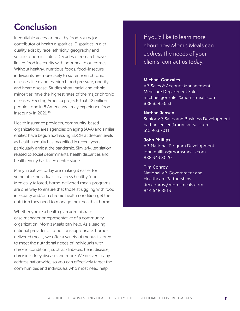## **Conclusion**

Inequitable access to healthy food is a major contributor of health disparities. Disparities in diet quality exist by race, ethnicity, geography and socioeconomic status. Decades of research have linked food insecurity with poor health outcomes. Without healthy, nutritious foods, food-insecure individuals are more likely to suffer from chronic diseases like diabetes, high blood pressure, obesity and heart disease. Studies show racial and ethnic minorities have the highest rates of the major chronic diseases. Feeding America projects that 42 million people—one in 8 Americans—may experience food insecurity in 2021.40

Health insurance providers, community-based organizations, area agencies on aging (AAA) and similar entities have begun addressing SDOH at deeper levels as health inequity has magnified in recent years particularly amidst the pandemic. Similarly, legislation related to social determinants, health disparities and health equity has taken center stage.

Many initiatives today are making it easier for vulnerable individuals to access healthy foods. Medically tailored, home-delivered meals programs are one way to ensure that those struggling with food insecurity and/or a chronic health condition get the nutrition they need to manage their health at home.

Whether you're a health plan administrator, case manager or representative of a community organization, Mom's Meals can help. As a leading national provider of condition-appropriate, homedelivered meals, we offer a variety of menus tailored to meet the nutritional needs of individuals with chronic conditions, such as diabetes, heart disease, chronic kidney disease and more. We deliver to any address nationwide, so you can effectively target the communities and individuals who most need help.

If you'd like to learn more about how Mom's Meals can address the needs of your clients, contact us today.

#### Michael Gonzales

VP, Sales & Account Management-Medicare Department Sales [michael.gonzales@momsmeals.com](mailto:michael.gonzales@momsmeals.com) 888.859.3653

#### Nathan Jensen

Senior VP, Sales and Business Development [nathan.jensen@momsmeals.com](mailto:nathan.jensen@momsmeals.com) 515.963.7011

#### John Phillips

VP, National Program Development [john.phillips@momsmeals.com](mailto:john.phillips@momsmeals.com) 888.343.8020

#### Tim Conroy

National VP, Government and Healthcare Partnerships [tim.conroy@momsmeals.com](mailto:tim.conroy@momsmeals.com) 844.648.8513